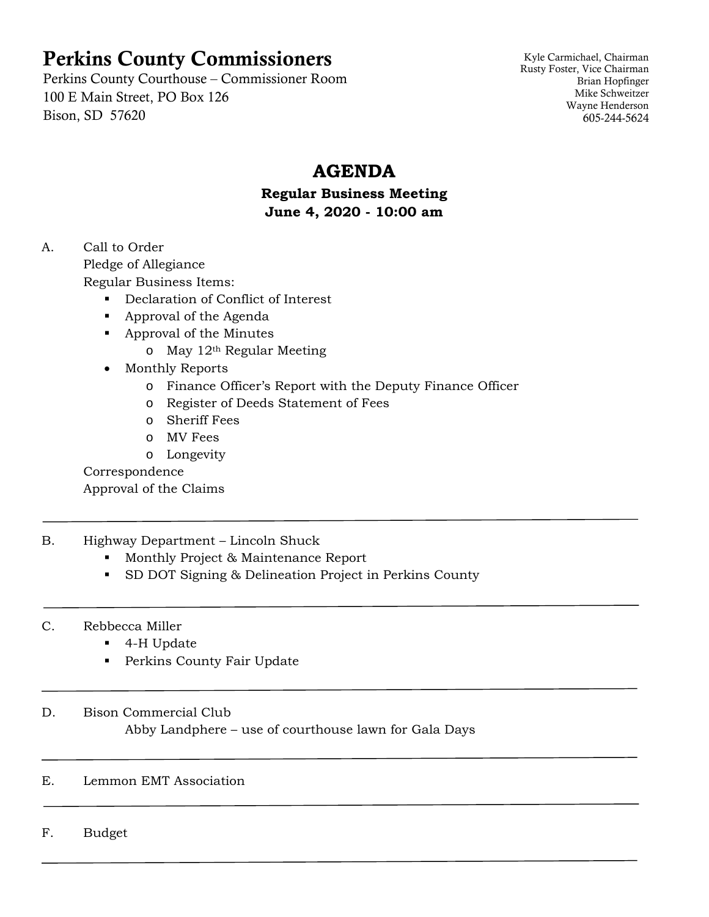# Perkins County Commissioners

Perkins County Courthouse – Commissioner Room 100 E Main Street, PO Box 126 Bison, SD 57620

Kyle Carmichael, Chairman Rusty Foster, Vice Chairman Brian Hopfinger Mike Schweitzer Wayne Henderson 605-244-5624

# **AGENDA**

# **Regular Business Meeting June 4, 2020 - 10:00 am**

A. Call to Order

Pledge of Allegiance

Regular Business Items:

- Declaration of Conflict of Interest
- **Approval of the Agenda**
- **Approval of the Minutes** 
	- $\circ$  May 12<sup>th</sup> Regular Meeting
- Monthly Reports
	- o Finance Officer's Report with the Deputy Finance Officer
	- o Register of Deeds Statement of Fees
	- o Sheriff Fees
	- o MV Fees
	- o Longevity

Correspondence

Approval of the Claims

# B. Highway Department – Lincoln Shuck

- **Monthly Project & Maintenance Report**
- SD DOT Signing & Delineation Project in Perkins County
- C. Rebbecca Miller
	- 4-H Update
	- **Perkins County Fair Update**

# D. Bison Commercial Club

Abby Landphere – use of courthouse lawn for Gala Days

# E. Lemmon EMT Association

F. Budget